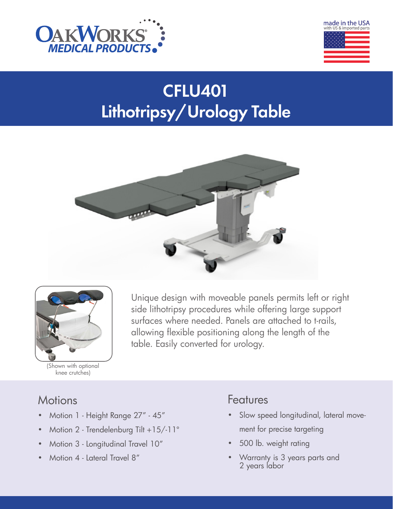



# CFLU401 Lithotripsy/Urology Table





(Shown with optional knee crutches)

Unique design with moveable panels permits left or right side lithotripsy procedures while offering large support surfaces where needed. Panels are attached to t-rails, allowing flexible positioning along the length of the table. Easily converted for urology.

# **Motions**

- Motion 1 Height Range 27" 45"
- Motion 2 Trendelenburg Tilt +15/-11°
- Motion 3 Longitudinal Travel 10"
- Motion 4 Lateral Travel 8"

# Features

- Slow speed longitudinal, lateral movement for precise targeting
- 500 lb. weight rating
- Warranty is 3 years parts and 2 years labor